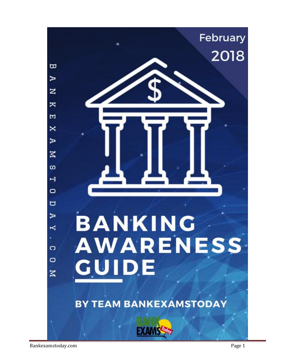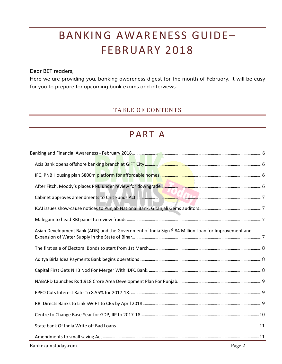# BANKING AWARENESS GUIDE– FEBRUARY 2018

Dear BET readers,

Here we are providing you, banking awareness digest for the month of February. It will be easy for you to prepare for upcoming bank exams and interviews.

## TABLE OF CONTENTS

# PART A

| Asian Development Bank (ADB) and the Government of India Sign \$84 Million Loan for Improvement and |
|-----------------------------------------------------------------------------------------------------|
|                                                                                                     |
|                                                                                                     |
|                                                                                                     |
|                                                                                                     |
|                                                                                                     |
|                                                                                                     |
|                                                                                                     |
|                                                                                                     |
|                                                                                                     |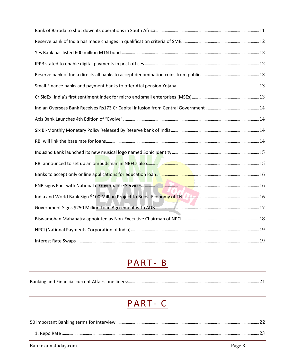# PART-B

| Banking and Financial current Affairs one liners: |
|---------------------------------------------------|
|---------------------------------------------------|

# PART-C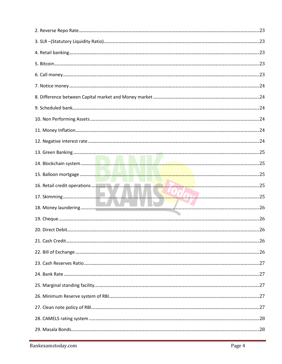| $9. \;Scheduled\;bank. \label{thm:1} \textit{24} \;$ |  |
|------------------------------------------------------|--|
|                                                      |  |
|                                                      |  |
|                                                      |  |
|                                                      |  |
|                                                      |  |
|                                                      |  |
|                                                      |  |
|                                                      |  |
|                                                      |  |
|                                                      |  |
|                                                      |  |
|                                                      |  |
|                                                      |  |
|                                                      |  |
|                                                      |  |
|                                                      |  |
|                                                      |  |
|                                                      |  |
|                                                      |  |
|                                                      |  |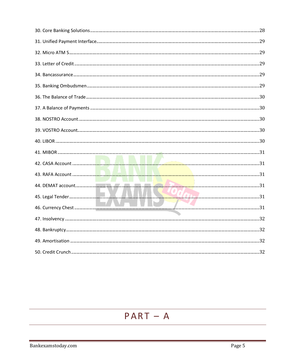| 46. Currency Chest 31 |  |
|-----------------------|--|
|                       |  |
|                       |  |
|                       |  |
|                       |  |

# $PART - A$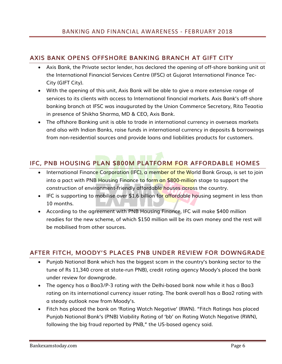### <span id="page-5-1"></span><span id="page-5-0"></span>**AXIS BANK OPENS OFFSHORE BANKING BRANCH AT GIFT CITY**

- Axis Bank, the Private sector lender, has declared the opening of off-shore banking unit at the International Financial Services Centre (IFSC) at Gujarat International Finance Tec-City (GIFT City).
- With the opening of this unit, Axis Bank will be able to give a more extensive range of services to its clients with access to International financial markets. Axis Bank's off-shore banking branch at IFSC was inaugurated by the Union Commerce Secretary, Rita Teaotia in presence of Shikha Sharma, MD & CEO, Axis Bank.
- The offshore Banking unit is able to trade in international currency in overseas markets and also with Indian Banks, raise funds in international currency in deposits & borrowings from non-residential sources and provide loans and liabilities products for customers.

## <span id="page-5-2"></span>**IFC, PNB HOUSING PLAN \$800M PLATFORM FOR AFFORDABLE HOMES**

- International Finance Corporation (IFC), a member of the World Bank Group, is set to join into a pact with PNB Housing Finance to form an \$800-million stage to support the construction of environment-friendly affordable houses across the country.
- IFC is supporting to mobilise over \$1.6 billion for affordable housing segment in less than 10 months.
- According to the agreement with PNB Housing Finance, IFC will make \$400 million readies for the new scheme, of which \$150 million will be its own money and the rest will be mobilised from other sources.

### <span id="page-5-3"></span>**AFTER FITCH, MOODY'S PLACES PNB UNDER REVIEW FOR DOWNGRADE**

- Punjab National Bank which has the biggest scam in the country's banking sector to the tune of Rs 11,340 crore at state-run PNB), credit rating agency Moody's placed the bank under review for downgrade.
- The agency has a Baa3/P-3 rating with the Delhi-based bank now while it has a Baa3 rating on its international currency issuer rating. The bank overall has a Baa2 rating with a steady outlook now from Moody's.
- Fitch has placed the bank on 'Rating Watch Negative' (RWN). "Fitch Ratings has placed Punjab National Bank's (PNB) Viability Rating of 'bb' on Rating Watch Negative (RWN), following the big fraud reported by PNB," the US-based agency said.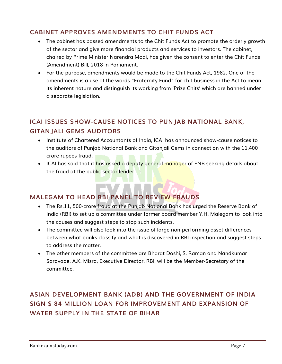# <span id="page-6-0"></span>**CABINET APPROVES AMENDMENTS TO CHIT FUNDS ACT**

- The cabinet has passed amendments to the Chit Funds Act to promote the orderly growth of the sector and give more financial products and services to investors. The cabinet, chaired by Prime Minister Narendra Modi, has given the consent to enter the Chit Funds (Amendment) Bill, 2018 in Parliament.
- For the purpose, amendments would be made to the Chit Funds Act, 1982. One of the amendments is a use of the words "Fraternity Fund" for chit business in the Act to mean its inherent nature and distinguish its working from 'Prize Chits' which are banned under a separate legislation.

# <span id="page-6-1"></span>**ICAI ISSUES SHOW-CAUSE NOTICES TO PUNJAB NATIONAL BANK, GITANJALI GEMS AUDITORS**

- Institute of Chartered Accountants of India, ICAI has announced show-cause notices to the auditors of Punjab National Bank and Gitanjali Gems in connection with the 11,400 crore rupees fraud.
- ICAI has said that it has asked a deputy general manager of PNB seeking details about the fraud at the public sector lender

# <span id="page-6-2"></span>**MALEGAM TO HEAD RBI PANEL TO REVIEW FRAUDS**

- The Rs.11, 500-crore fraud at the Punjab National Bank has urged the Reserve Bank of India (RBI) to set up a committee under former board member Y.H. Malegam to look into the causes and suggest steps to stop such incidents.
- The committee will also look into the issue of large non-performing asset differences between what banks classify and what is discovered in RBI inspection and suggest steps to address the matter.
- The other members of the committee are Bharat Doshi, S. Raman and Nandkumar Saravade. A.K. Misra, Executive Director, RBI, will be the Member-Secretary of the committee.

# <span id="page-6-3"></span>**ASIAN DEVELOPMENT BANK (ADB) AND THE GOVERNMENT OF INDIA SIGN \$ 84 MILLION LOAN FOR IMPROVEMENT AND EXPANSION OF WATER SUPPLY IN THE STATE OF BIHAR**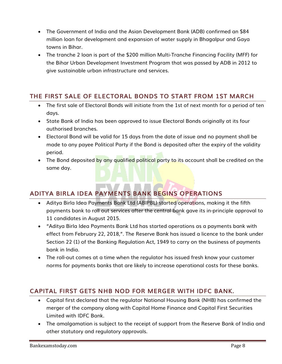- The Government of India and the Asian Development Bank (ADB) confirmed an \$84 million loan for development and expansion of water supply in Bhagalpur and Gaya towns in Bihar.
- The tranche 2 loan is part of the \$200 million Multi-Tranche Financing Facility (MFF) for the Bihar Urban Development Investment Program that was passed by ADB in 2012 to give sustainable urban infrastructure and services.

## <span id="page-7-0"></span>**THE FIRST SALE OF ELECTORAL BONDS TO START FROM 1ST MARCH**

- The first sale of Electoral Bonds will initiate from the 1st of next month for a period of ten days.
- State Bank of India has been approved to issue Electoral Bonds originally at its four authorised branches.
- Electoral Bond will be valid for 15 days from the date of issue and no payment shall be made to any payee Political Party if the Bond is deposited after the expiry of the validity period.
- The Bond deposited by any qualified political party to its account shall be credited on the same day.

## <span id="page-7-1"></span>**ADITYA BIRLA IDEA PAYMENTS BANK BEGINS OPERATIONS**

- Aditya Birla Idea Payments Bank Ltd (ABIPBL) started operations, making it the fifth payments bank to roll out services after the central bank gave its in-principle approval to 11 candidates in August 2015.
- "Aditya Birla Idea Payments Bank Ltd has started operations as a payments bank with effect from February 22, 2018,". The Reserve Bank has issued a licence to the bank under Section 22 (1) of the Banking Regulation Act, 1949 to carry on the business of payments bank in India.
- The roll-out comes at a time when the regulator has issued fresh know your customer norms for payments banks that are likely to increase operational costs for these banks.

### <span id="page-7-2"></span>**CAPITAL FIRST GETS NHB NOD FOR MERGER WITH IDFC BANK.**

- Capital first declared that the regulator National Housing Bank (NHB) has confirmed the merger of the company along with Capital Home Finance and Capital First Securities Limited with IDFC Bank.
- The amalgamation is subject to the receipt of support from the Reserve Bank of India and other statutory and regulatory approvals.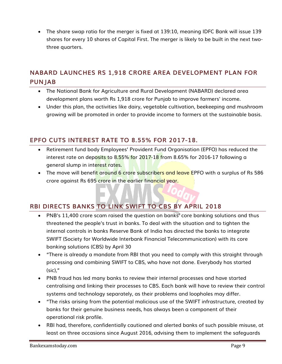The share swap ratio for the merger is fixed at 139:10, meaning IDFC Bank will issue 139 shares for every 10 shares of Capital First. The merger is likely to be built in the next twothree quarters.

## <span id="page-8-0"></span>**NABARD LAUNCHES RS 1,918 CRORE AREA DEVELOPMENT PLAN FOR PUNJAB**

- The National Bank for Agriculture and Rural Development (NABARD) declared area development plans worth Rs 1,918 crore for Punjab to improve farmers' income.
- Under this plan, the activities like dairy, vegetable cultivation, beekeeping and mushroom growing will be promoted in order to provide income to farmers at the sustainable basis.

#### <span id="page-8-1"></span>**EPFO CUTS INTEREST RATE TO 8.55% FOR 2017-18.**

- Retirement fund body Employees' Provident Fund Organisation (EPFO) has reduced the interest rate on deposits to 8.55% for 2017-18 from 8.65% for 2016-17 following a general slump in interest rates.
- The move will benefit around 6 crore subscribers and leave EPFO with a surplus of Rs 586 crore against Rs 695 crore in the earlier financial year.

## <span id="page-8-2"></span>**RBI DIRECTS BANKS TO LINK SWIFT TO CBS BY APRIL 2018**

- PNB's 11,400 crore scam raised the question on banks' core banking solutions and thus threatened the people's trust in banks. To deal with the situation and to tighten the internal controls in banks Reserve Bank of India has directed the banks to integrate SWIFT (Society for Worldwide Interbank Financial Telecommunication) with its core banking solutions (CBS) by April 30
- "There is already a mandate from RBI that you need to comply with this straight through processing and combining SWIFT to CBS, who have not done. Everybody has started (sic),"
- PNB fraud has led many banks to review their internal processes and have started centralising and linking their processes to CBS. Each bank will have to review their control systems and technology separately, as their problems and loopholes may differ.
- "The risks arising from the potential malicious use of the SWIFT infrastructure, created by banks for their genuine business needs, has always been a component of their operational risk profile.
- RBI had, therefore, confidentially cautioned and alerted banks of such possible misuse, at least on three occasions since August 2016, advising them to implement the safeguards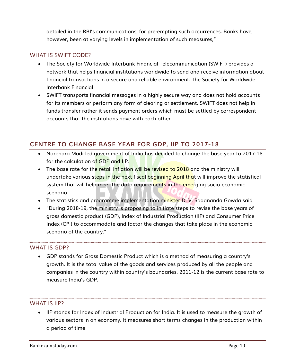detailed in the RBI's communications, for pre-empting such occurrences. Banks have, however, been at varying levels in implementation of such measures,"

#### WHAT IS SWIFT CODE?

- The Society for Worldwide Interbank Financial Telecommunication (SWIFT) provides a network that helps financial institutions worldwide to send and receive information about financial transactions in a secure and reliable environment. The Society for Worldwide Interbank Financial
- SWIFT transports financial messages in a highly secure way and does not hold accounts for its members or perform any form of clearing or settlement. SWIFT does not help in funds transfer rather it sends payment orders which must be settled by correspondent accounts that the institutions have with each other.

#### <span id="page-9-0"></span>**CENTRE TO CHANGE BASE YEAR FOR GDP, IIP TO 2017-18**

- Narendra Modi-led government of India has decided to change the base year to 2017-18 for the calculation of GDP and IIP.
- The base rate for the retail inflation will be revised to 2018 and the ministry will undertake various steps in the next fiscal beginning April that will improve the statistical system that will help meet the data requirements in the emerging socio-economic scenario.
- The statistics and programme implementation minister D.V. Sadananda Gowda said
- "During 2018-19, the ministry is proposing to initiate steps to revise the base years of gross domestic product (GDP), Index of Industrial Production (IIP) and Consumer Price Index (CPI) to accommodate and factor the changes that take place in the economic scenario of the country,"

#### WHAT IS GDP?

 GDP stands for Gross Domestic Product which is a method of measuring a country's growth. It is the total value of the goods and services produced by all the people and companies in the country within country's boundaries. 2011-12 is the current base rate to measure India's GDP.

#### WHAT IS IIP?

 IIP stands for Index of Industrial Production for India. It is used to measure the growth of various sectors in an economy. It measures short terms changes in the production within a period of time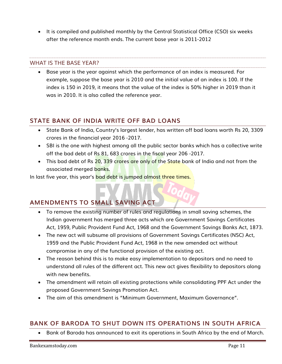It is compiled and published monthly by the Central Statistical Office (CSO) six weeks after the reference month ends. The current base year is 2011-2012

#### WHAT IS THE BASE YEAR?

 Base year is the year against which the performance of an index is measured. For example, suppose the base year is 2010 and the initial value of an index is 100. If the index is 150 in 2019, it means that the value of the index is 50% higher in 2019 than it was in 2010. It is also called the reference year.

#### <span id="page-10-0"></span>**STATE BANK OF INDIA WRITE OFF BAD LOANS**

- State Bank of India, Country's largest lender, has written off bad loans worth Rs 20, 3309 crores in the financial year 2016 -2017.
- SBI is the one with highest among all the public sector banks which has a collective write off the bad debt of Rs 81, 683 crores in the fiscal year 206 -2017.
- This bad debt of Rs 20, 339 crores are only of the State bank of India and not from the associated merged banks.

In last five year, this year's bad debt is jumped almost three times.

## <span id="page-10-1"></span>**AMENDMENTS TO SMALL SAVING ACT**

- To remove the existing number of rules and regulations in small saving schemes, the Indian government has merged three acts which are Government Savings Certificates Act, 1959, Public Provident Fund Act, 1968 and the Government Savings Banks Act, 1873.
- The new act will subsume all provisions of Government Savings Certificates (NSC) Act, 1959 and the Public Provident Fund Act, 1968 in the new amended act without compromise in any of the functional provision of the existing act.
- The reason behind this is to make easy implementation to depositors and no need to understand all rules of the different act. This new act gives flexibility to depositors along with new benefits.
- The amendment will retain all existing protections while consolidating PPF Act under the proposed Government Savings Promotion Act.
- The aim of this amendment is "Minimum Government, Maximum Governance".

### <span id="page-10-2"></span>**BANK OF BARODA TO SHUT DOWN ITS OPERATIONS IN SOUTH AFRICA**

Bank of Baroda has announced to exit its operations in South Africa by the end of March.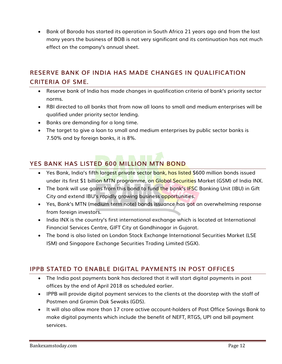Bank of Baroda has started its operation in South Africa 21 years ago and from the last many years the business of BOB is not very significant and its continuation has not much effect on the company's annual sheet.

# <span id="page-11-0"></span>**RESERVE BANK OF INDIA HAS MADE CHANGES IN QUALIFICATION CRITERIA OF SME.**

- Reserve bank of India has made changes in qualification criteria of bank's priority sector norms.
- RBI directed to all banks that from now all loans to small and medium enterprises will be qualified under priority sector lending.
- Banks are demanding for a long time.
- The target to give a loan to small and medium enterprises by public sector banks is 7.50% and by foreign banks, it is 8%.

# <span id="page-11-1"></span>**YES BANK HAS LISTED 600 MILLION MTN BOND**

- Yes Bank, India's fifth largest private sector bank, has listed \$600 million bonds issued under its first \$1 billion MTN programme, on Global Securities Market (GSM) of India INX.
- The bank will use gains from this bond to fund the bank's IFSC Banking Unit (IBU) in Gift City and extend IBU's rapidly growing business opportunities.
- Yes, Bank's MTN (medium term note) bonds issuance has got an overwhelming response from foreign investors.
- India INX is the country's first international exchange which is located at International Financial Services Centre, GIFT City at Gandhinagar in Gujarat.
- The bond is also listed on London Stock Exchange International Securities Market (LSE ISM) and Singapore Exchange Securities Trading Limited (SGX).

## <span id="page-11-2"></span>**IPPB STATED TO ENABLE DIGITAL PAYMENTS IN POST OFFICES**

- The India post payments bank has declared that it will start digital payments in post offices by the end of April 2018 as scheduled earlier.
- IPPB will provide digital payment services to the clients at the doorstep with the staff of Postmen and Gramin Dak Sewaks (GDS).
- It will also allow more than 17 crore active account-holders of Post Office Savings Bank to make digital payments which include the benefit of NEFT, RTGS, UPI and bill payment services.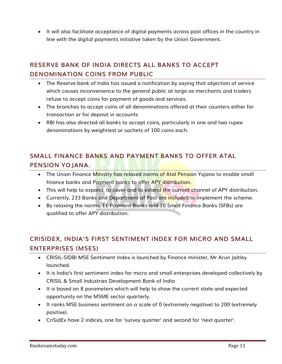It will also facilitate acceptance of digital payments across post offices in the country in line with the digital payments initiative taken by the Union Government.

# <span id="page-12-0"></span>**RESERVE BANK OF INDIA DIRECTS ALL BANKS TO ACCEPT DENOMINATION COINS FROM PUBLIC**

- The Reserve bank of India has issued a notification by saying that objection of service which causes inconvenience to the general public at large as merchants and traders refuse to accept coins for payment of goods and services.
- The branches to accept coins of all denominations offered at their counters either for transaction or for deposit in accounts
- RBI has also directed all banks to accept coins, particularly in one and two rupee denominations by weightiest or sachets of 100 coins each.

# <span id="page-12-1"></span>**SMALL FINANCE BANKS AND PAYMENT BANKS TO OFFER ATAL PENSION YOJANA.**

- The Union Finance Ministry has relaxed norms of Atal Pension Yojana to enable small finance banks and Payment banks to offer APY distribution.
- This will help to expand, to cover and to extend the current channel of APY distribution.
- Currently, 233 Banks and Department of Post are included to implement the scheme.
- By relaxing the norms, 11 Payment Banks and 10 Small Finance Banks (SFBs) are qualified to offer APY distribution.

# <span id="page-12-2"></span>**CRISIDEX, INDIA'S FIRST SENTIMENT INDEX FOR MICRO AND SMALL ENTERPRISES (MSES)**

- CRISIL-SIDBI MSE Sentiment Index is launched by Finance minister, Mr Arun Jaitley launched.
- It is India's first sentiment index for micro and small enterprises developed collectively by CRISIL & Small Industries Development Bank of India
- It is based on 8 parameters which will help to show the current state and expected opportunity on the MSME sector quarterly.
- It ranks MSE business sentiment on a scale of 0 (extremely negative) to 200 (extremely positive).
- CriSidEx have 2 indices, one for 'survey quarter' and second for 'next quarter'.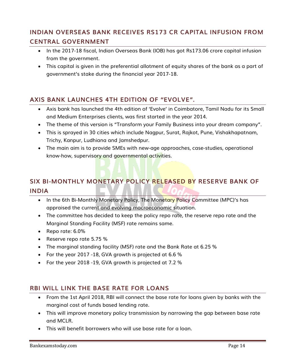# <span id="page-13-0"></span>**INDIAN OVERSEAS BANK RECEIVES RS173 CR CAPITAL INFUSION FROM CENTRAL GOVERNMENT**

- In the 2017-18 fiscal, Indian Overseas Bank (IOB) has got Rs173.06 crore capital infusion from the government.
- This capital is given in the preferential allotment of equity shares of the bank as a part of government's stake during the financial year 2017-18.

## <span id="page-13-1"></span>**AXIS BANK LAUNCHES 4TH EDITION OF "EVOLVE".**

- Axis bank has launched the 4th edition of 'Evolve' in Coimbatore, Tamil Nadu for its Small and Medium Enterprises clients, was first started in the year 2014.
- The theme of this version is "Transform your Family Business into your dream company".
- This is sprayed in 30 cities which include Nagpur, Surat, Rajkot, Pune, Vishakhapatnam, Trichy, Kanpur, Ludhiana and Jamshedpur.
- The main aim is to provide SMEs with new-age approaches, case-studies, operational know-how, supervisory and governmental activities.

# <span id="page-13-2"></span>**SIX BI-MONTHLY MONETARY POLICY RELEASED BY RESERVE BANK OF INDIA**

- In the 6th Bi-Monthly Monetary Policy, The Monetary Policy Committee (MPC)'s has appraised the current and evolving macroeconomic situation.
- The committee has decided to keep the policy repo rate, the reserve repo rate and the Marginal Standing Facility (MSF) rate remains same.
- Repo rate: 6.0%
- Reserve repo rate 5.75 %
- The marginal standing facility (MSF) rate and the Bank Rate at 6.25 %
- For the year 2017 -18, GVA growth is projected at 6.6 %
- For the year 2018 -19, GVA growth is projected at 7.2 %

#### <span id="page-13-3"></span>**RBI WILL LINK THE BASE RATE FOR LOANS**

- From the 1st April 2018, RBI will connect the base rate for loans given by banks with the marginal cost of funds based lending rate.
- This will improve monetary policy transmission by narrowing the gap between base rate and MCLR.
- This will benefit borrowers who will use base rate for a loan.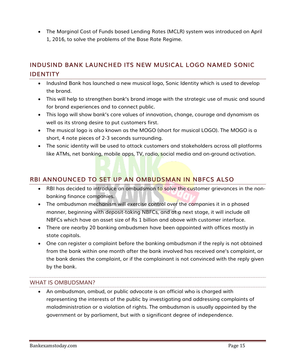The Marginal Cost of Funds based Lending Rates (MCLR) system was introduced on April 1, 2016, to solve the problems of the Base Rate Regime.

## <span id="page-14-0"></span>**INDUSIND BANK LAUNCHED ITS NEW MUSICAL LOGO NAMED SONIC IDENTITY**

- IndusInd Bank has launched a new musical logo, Sonic Identity which is used to develop the brand.
- This will help to strengthen bank's brand image with the strategic use of music and sound for brand experiences and to connect public.
- This logo will show bank's core values of innovation, change, courage and dynamism as well as its strong desire to put customers first.
- The musical logo is also known as the MOGO (short for musical LOGO). The MOGO is a short, 4 note pieces of 2-3 seconds surrounding.
- The sonic identity will be used to attack customers and stakeholders across all platforms like ATMs, net banking, mobile apps, TV, radio, social media and on-ground activation.

## <span id="page-14-1"></span>**RBI ANNOUNCED TO SET UP AN OMBUDSMAN IN NBFCS ALSO**

- RBI has decided to introduce an ombudsman to solve the customer grievances in the nonbanking finance companies.
- The ombudsman mechanism will exercise control over the companies it in a phased manner, beginning with deposit-taking NBFCs, and at a next stage, it will include all NBFCs which have an asset size of Rs 1 billion and above with customer interface.
- There are nearby 20 banking ombudsmen have been appointed with offices mostly in state capitals.
- One can register a complaint before the banking ombudsman if the reply is not obtained from the bank within one month after the bank involved has received one's complaint, or the bank denies the complaint, or if the complainant is not convinced with the reply given by the bank.

#### WHAT IS OMBUDSMAN?

 An ombudsman, ombud, or public advocate is an official who is charged with representing the interests of the public by investigating and addressing complaints of maladministration or a violation of rights. The ombudsman is usually appointed by the government or by parliament, but with a significant degree of independence.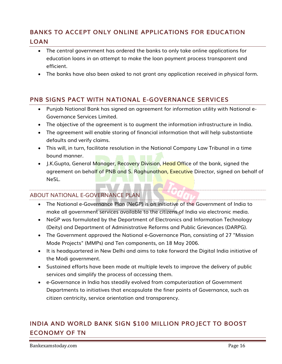## <span id="page-15-0"></span>**BANKS TO ACCEPT ONLY ONLINE APPLICATIONS FOR EDUCATION LOAN**

- The central government has ordered the banks to only take online applications for education loans in an attempt to make the loan payment process transparent and efficient.
- The banks have also been asked to not grant any application received in physical form.

#### <span id="page-15-1"></span>**PNB SIGNS PACT WITH NATIONAL E-GOVERNANCE SERVICES**

- Punjab National Bank has signed an agreement for information utility with National e-Governance Services Limited.
- The objective of the agreement is to augment the information infrastructure in India.
- The agreement will enable storing of financial information that will help substantiate defaults and verify claims.
- This will, in turn, facilitate resolution in the National Company Law Tribunal in a time bound manner.
- J.K.Gupta, General Manager, Recovery Division, Head Office of the bank, signed the agreement on behalf of PNB and S. Raghunathan, Executive Director, signed on behalf of NeSL.

#### ABOUT NATIONAL E-GOVERNANCE PLAN

- The National e-Governance Plan (NeGP) is an initiative of the Government of India to make all government services available to the citizens of India via electronic media.
- NeGP was formulated by the Department of Electronics and Information Technology (Deity) and Department of Administrative Reforms and Public Grievances (DARPG).
- The Government approved the National e-Governance Plan, consisting of 27 "Mission Mode Projects" (MMPs) and Ten components, on 18 May 2006.
- It is headquartered in New Delhi and aims to take forward the Digital India initiative of the Modi government.
- Sustained efforts have been made at multiple levels to improve the delivery of public services and simplify the process of accessing them.
- e-Governance in India has steadily evolved from computerization of Government Departments to initiatives that encapsulate the finer points of Governance, such as citizen centricity, service orientation and transparency.

# <span id="page-15-2"></span>**INDIA AND WORLD BANK SIGN \$100 MILLION PROJECT TO BOOST ECONOMY OF TN**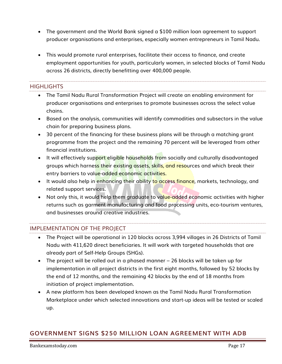- The government and the World Bank signed a \$100 million loan agreement to support producer organisations and enterprises, especially women entrepreneurs in Tamil Nadu.
- This would promote rural enterprises, facilitate their access to finance, and create employment opportunities for youth, particularly women, in selected blocks of Tamil Nadu across 26 districts, directly benefitting over 400,000 people.

#### HIGHI IGHTS

- The Tamil Nadu Rural Transformation Project will create an enabling environment for producer organisations and enterprises to promote businesses across the select value chains.
- Based on the analysis, communities will identify commodities and subsectors in the value chain for preparing business plans.
- 30 percent of the financing for these business plans will be through a matching grant programme from the project and the remaining 70 percent will be leveraged from other financial institutions.
- It will effectively support eligible households from socially and culturally disadvantaged groups which harness their existing assets, skills, and resources and which break their entry barriers to value-added economic activities.
- It would also help in enhancing their ability to access finance, markets, technology, and related support services.
- Not only this, it would help them graduate to value-added economic activities with higher returns such as garment manufacturing and food processing units, eco-tourism ventures, and businesses around creative industries.

#### IMPLEMENTATION OF THE PROJECT

- The Project will be operational in 120 blocks across 3,994 villages in 26 Districts of Tamil Nadu with 411,620 direct beneficiaries. It will work with targeted households that are already part of Self-Help Groups (SHGs).
- The project will be rolled out in a phased manner 26 blocks will be taken up for implementation in all project districts in the first eight months, followed by 52 blocks by the end of 12 months, and the remaining 42 blocks by the end of 18 months from initiation of project implementation.
- A new platform has been developed known as the Tamil Nadu Rural Transformation Marketplace under which selected innovations and start-up ideas will be tested or scaled up.

## <span id="page-16-0"></span>**GOVERNMENT SIGNS \$250 MILLION LOAN AGREEMENT WITH ADB**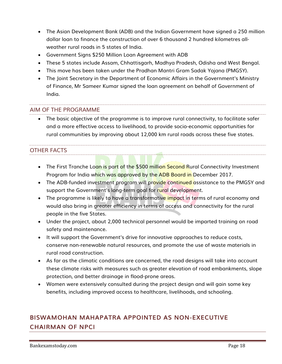- The Asian Development Bank (ADB) and the Indian Government have signed a 250 million dollar loan to finance the construction of over 6 thousand 2 hundred kilometres allweather rural roads in 5 states of India.
- Government Signs \$250 Million Loan Agreement with ADB
- These 5 states include Assam, Chhattisgarh, Madhya Pradesh, Odisha and West Bengal.
- This move has been taken under the Pradhan Mantri Gram Sadak Yojana (PMGSY).
- The Joint Secretary in the Department of Economic Affairs in the Government's Ministry of Finance, Mr Sameer Kumar signed the loan agreement on behalf of Government of India.

#### AIM OF THE PROGRAMME

 The basic objective of the programme is to improve rural connectivity, to facilitate safer and a more effective access to livelihood, to provide socio-economic opportunities for rural communities by improving about 12,000 km rural roads across these five states.

#### OTHER FACTS

- The First Tranche Loan is part of the \$500 million Second Rural Connectivity Investment Program for India which was approved by the ADB Board in December 2017.
- The ADB-funded investment program will provide continued assistance to the PMGSY and support the Government's long-term goal for rural development.
- The programme is likely to have a transformative impact in terms of rural economy and would also bring in greater efficiency in terms of access and connectivity for the rural people in the five States.
- Under the project, about 2,000 technical personnel would be imparted training on road safety and maintenance.
- It will support the Government's drive for innovative approaches to reduce costs, conserve non-renewable natural resources, and promote the use of waste materials in rural road construction.
- As far as the climatic conditions are concerned, the road designs will take into account these climate risks with measures such as greater elevation of road embankments, slope protection, and better drainage in flood-prone areas.
- Women were extensively consulted during the project design and will gain some key benefits, including improved access to healthcare, livelihoods, and schooling.

# <span id="page-17-0"></span>**BISWAMOHAN MAHAPATRA APPOINTED AS NON-EXECUTIVE CHAIRMAN OF NPCI**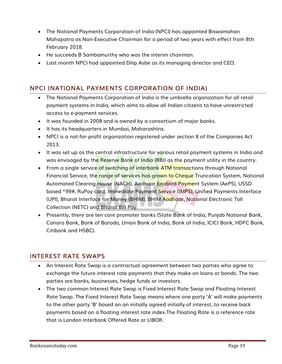- The National Payments Corporation of India (NPCI) has appointed Biswamohan Mahapatra as Non-Executive Chairman for a period of two years with effect from 8th February 2018.
- He succeeds B Sambamurthy who was the interim chairman.
- Last month NPCI had appointed Dilip Asbe as its managing director and CEO.

### <span id="page-18-0"></span>**NPCI (NATIONAL PAYMENTS CORPORATION OF INDIA)**

- The National Payments Corporation of India is the umbrella organization for all retail payment systems in India, which aims to allow all Indian citizens to have unrestricted access to e-payment services.
- It was founded in 2008 and is owned by a consortium of major banks.
- It has its headquarters in Mumbai, Maharashtra.
- NPCI is a not-for-profit organization registered under section 8 of the Companies Act 2013.
- It was set up as the central infrastructure for various retail payment systems in India and was envisaged by the Reserve Bank of India (RBI) as the payment utility in the country.
- From a single service of switching of interbank ATM transactions through National Financial Service, the range of services has grown to Cheque Truncation System, National Automated Clearing House (NACH), Aadhaar Enabled Payment System (AePS), USSD based \*99#, RuPay card, Immediate Payment Service (IMPS), Unified Payments Interface (UPI), Bharat Interface for Money (BHIM), BHIM Aadhaar, National Electronic Toll Collection (NETC) and Bharat Bill Pay.
- Presently, there are ten core promoter banks (State Bank of India, Punjab National Bank, Canara Bank, Bank of Baroda, Union Bank of India, Bank of India, ICICI Bank, HDFC Bank, Citibank and HSBC).

### <span id="page-18-1"></span>**INTEREST RATE SWAPS**

- An Interest Rate Swap is a contractual agreement between two parties who agree to exchange the future interest rate payments that they make on loans or bonds. The two parties are banks, businesses, hedge funds or investors.
- The two common Interest Rate Swap is Fixed Interest Rate Swap and Floating Interest Rate Swap. The Fixed Interest Rate Swap means where one party 'A' will make payments to the other party 'B' based on an initially agreed initially of interest, to receive back payments based on a floating interest rate index.The Floating Rate is a reference rate that is London Interbank Offered Rate or LIBOR.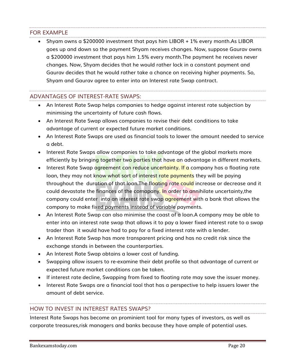#### FOR EXAMPLE

 Shyam owns a \$200000 investment that pays him LIBOR + 1% every month.As LIBOR goes up and down so the payment Shyam receives changes. Now, suppose Gaurav owns a \$200000 investment that pays him 1.5% every month.The payment he receives never changes. Now, Shyam decides that he would rather lock in a constant payment and Gaurav decides that he would rather take a chance on receiving higher payments. So, Shyam and Gaurav agree to enter into an Interest rate Swap contract.

#### ADVANTAGES OF INTEREST-RATE SWAPS:

- An Interest Rate Swap helps companies to hedge against interest rate subjection by minimising the uncertainty of future cash flows.
- An Interest Rate Swap allows companies to revise their debt conditions to take advantage of current or expected future market conditions.
- An Interest Rate Swaps are used as financial tools to lower the amount needed to service a debt.
- Interest Rate Swaps allow companies to take advantage of the global markets more efficiently by bringing together two parties that have an advantage in different markets.
- Interest Rate Swap agreement can reduce uncertainty. If a company has a floating rate loan, they may not know what sort of interest rate payments they will be paying throughout the duration of that loan. The floating rate could increase or decrease and it could devastate the finances of the comapany. In order to annihilate uncertainty,the company could enter into an interest rate swap **agreement** with a bank that allows the company to make fixed payments instead of variable payments.
- An Interest Rate Swap can also minimise the coast of a loan.A company may be able to enter into an interest rate swap that allows it to pay a lower fixed interest rate to a swap trader than it would have had to pay for a fixed interest rate with a lender.
- An Interest Rate Swap has more transparent pricing and has no credit risk since the exchange stands in between the counterparties.
- An Interest Rate Swap obtains a lower cost of funding.
- Swapping allow issuers to re-examine their debt profile so that advantage of current or expected future market conditions can be taken.
- If interest rate decline, Swapping from fixed to floating rate may save the issuer money.
- Interest Rate Swaps are a financial tool that has a perspective to help issuers lower the amount of debt service.

#### HOW TO INVEST IN INTEREST RATES SWAPS?

Interest Rate Swaps has become an prominient tool for many types of investors, as well as corporate treasures,risk managers and banks because they have ample of potential uses.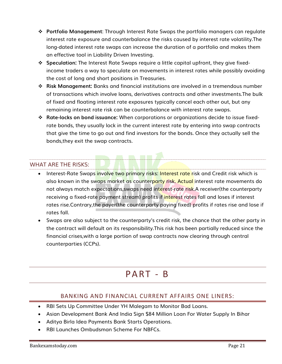- **Portfolio Management**: Through Interest Rate Swaps the portfolio managers can regulate interest rate exposure and counterbalance the risks caused by interest rate volatility.The long-dated interest rate swaps can increase the duration of a portfolio and makes them an effective tool in Liability Driven Investing.
- **Speculation:** The Interest Rate Swaps require a little capital upfront, they give fixedincome traders a way to speculate on movements in interest rates while possibly avoiding the cost of long and short positions in Treasuries.
- **Risk Management:** Banks and financial institutions are involved in a tremendous number of transactions which involve loans, derivatives contracts and other investments.The bulk of fixed and floating interest rate exposures typically cancel each other out, but any remaining interest rate risk can be counterbalance with interest rate swaps.
- **Rate-locks on bond issuance:** When corporations or organizations decide to issue fixedrate bonds, they usually lock in the current interest rate by entering into swap contracts that give the time to go out and find investors for the bonds. Once they actually sell the bonds,they exit the swap contracts.

#### WHAT ARE THE RISKS:

- Interest-Rate Swaps involve two primary risks: Interest rate risk and Credit risk which is also known in the swaps market as counterparty risk. Actual interest rate movements do not always match expectations,swaps need interest-rate risk.A receiver(the counterparty receiving a fixed-rate payment stream) profits if interest rates fall and loses if interest rates rise.Contrary,the payer(the counterparty paying fixed) profits if rates rise and lose if rates fall.
- Swaps are also subject to the counterparty's credit risk, the chance that the other party in the contract will default on its responsibility.This risk has been partially reduced since the financial crises,with a large portion of swap contracts now clearing through central counterparties (CCPs).

# P A RT - B

#### BANKING AND FINANCIAL CURRENT AFFAIRS ONE LINERS:

- <span id="page-20-0"></span>RBI Sets Up Committee Under YH Malegam to Monitor Bad Loans.
- Asian Development Bank And India Sign \$84 Million Loan For Water Supply In Bihar
- Aditya Birla Idea Payments Bank Starts Operations.
- RBI Launches Ombudsman Scheme For NBFCs.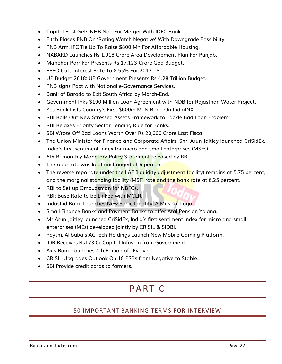- Capital First Gets NHB Nod For Merger With IDFC Bank.
- Fitch Places PNB On 'Rating Watch Negative' With Downgrade Possibility.
- PNB Arm, IFC Tie Up To Raise \$800 Mn For Affordable Housing.
- NABARD Launches Rs 1,918 Crore Area Development Plan For Punjab.
- Manohar Parrikar Presents Rs 17,123-Crore Goa Budget.
- EPFO Cuts Interest Rate To 8.55% For 2017-18.
- UP Budget 2018: UP Government Presents Rs 4.28 Trillion Budget.
- PNB signs Pact with National e-Governance Services.
- Bank of Baroda to Exit South Africa by March-End.
- Government Inks \$100 Million Loan Agreement with NDB for Rajasthan Water Project.
- Yes Bank Lists Country's First \$600m MTN Bond On IndiaINX.
- RBI Rolls Out New Stressed Assets Framework to Tackle Bad Loan Problem.
- RBI Relaxes Priority Sector Lending Rule for Banks.
- SBI Wrote Off Bad Loans Worth Over Rs 20,000 Crore Last Fiscal.
- The Union Minister for Finance and Corporate Affairs, Shri Arun Jaitley launched CriSidEx, India's first sentiment index for micro and small enterprises (MSEs).
- 6th Bi-monthly Monetary Policy Statement released by RBI
- The repo rate was kept unchanged at 6 percent.
- The reverse repo rate under the LAF (liquidity adjustment facility) remains at 5.75 percent, and the marginal standing facility (MSF) rate and the bank rate at 6.25 percent.
- RBI to Set up Ombudsman for NBFCs.
- RBI: Base Rate to be Linked with MCLR.
- IndusInd Bank Launches New Sonic Identity, A Musical Logo.
- Small Finance Banks and Payment Banks to offer Atal Pension Yojana.
- Mr Arun Jaitley launched CriSidEx, India's first sentiment index for micro and small enterprises (MEs) developed jointly by CRISIL & SIDBI.
- Paytm, Alibaba's AGTech Holdings Launch New Mobile Gaming Platform.
- IOB Receives Rs173 Cr Capital Infusion from Government.
- Axis Bank Launches 4th Edition of "Evolve".
- CRISIL Upgrades Outlook On 18 PSBs from Negative to Stable.
- <span id="page-21-0"></span>• SBI Provide credit cards to farmers.

# P A RT C

### 50 IMPORTANT BANKING TERMS FOR INTERVIEW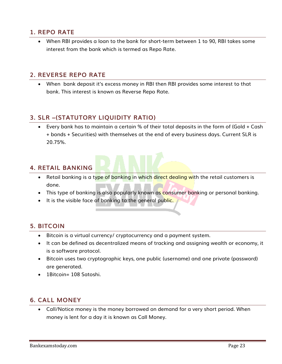### <span id="page-22-0"></span>**1. REPO RATE**

 When RBI provides a loan to the bank for short-term between 1 to 90, RBI takes some interest from the bank which is termed as Repo Rate.

#### <span id="page-22-1"></span>**2. REVERSE REPO RATE**

 When bank deposit it's excess money in RBI then RBI provides some interest to that bank. This interest is known as Reverse Repo Rate.

### <span id="page-22-2"></span>**3. SLR –(STATUTORY LIQUIDITY RATIO)**

 Every bank has to maintain a certain % of their total deposits in the form of (Gold + Cash + bonds + Securities) with themselves at the end of every business days. Current SLR is 20.75%.

### <span id="page-22-3"></span>**4. RETAIL BANKING**

- Retail banking is a type of banking in which direct dealing with the retail customers is done.
- This type of banking is also popularly known as consumer banking or personal banking.
- It is the visible face of banking to the general public.

#### <span id="page-22-4"></span>**5. BITCOIN**

- Bitcoin is a virtual currency/ cryptocurrency and a payment system.
- It can be defined as decentralized means of tracking and assigning wealth or economy, it is a software protocol.
- Bitcoin uses two cryptographic keys, one public (username) and one private (password) are generated.
- 1Bitcoin= 108 Satoshi.

### <span id="page-22-5"></span>**6. CALL MONEY**

 Call/Notice money is the money borrowed on demand for a very short period. When money is lent for a day it is known as Call Money.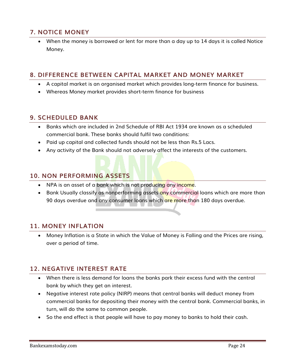## <span id="page-23-0"></span>**7. NOTICE MONEY**

 When the money is borrowed or lent for more than a day up to 14 days it is called Notice Money.

#### <span id="page-23-1"></span>**8. DIFFERENCE BETWEEN CAPITAL MARKET AND MONEY MARKET**

- A capital market is an organised market which provides long-term finance for business.
- Whereas Money market provides short-term finance for business

#### <span id="page-23-2"></span>**9. SCHEDULED BANK**

- Banks which are included in 2nd Schedule of RBI Act 1934 are known as a scheduled commercial bank. These banks should fulfil two conditions:
- Paid up capital and collected funds should not be less than Rs.5 Lacs.
- Any activity of the Bank should not adversely affect the interests of the customers.

#### <span id="page-23-3"></span>**10. NON PERFORMING ASSETS**

- NPA is an asset of a bank which is not producing any income.
- Bank Usually classify as nonperforming assets any commercial loans which are more than 90 days overdue and any consumer loans which are more than 180 days overdue.

#### <span id="page-23-4"></span>**11. MONEY INFLATION**

 Money Inflation is a State in which the Value of Money is Falling and the Prices are rising, over a period of time.

### <span id="page-23-5"></span>**12. NEGATIVE INTEREST RATE**

- When there is less demand for loans the banks park their excess fund with the central bank by which they get an interest.
- Negative interest rate policy (NIRP) means that central banks will deduct money from commercial banks for depositing their money with the central bank. Commercial banks, in turn, will do the same to common people.
- So the end effect is that people will have to pay money to banks to hold their cash.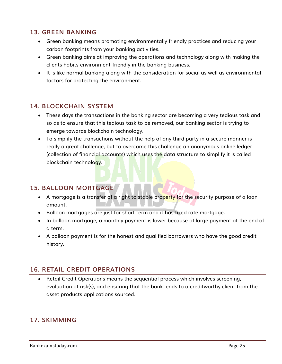## <span id="page-24-0"></span>**13. GREEN BANKING**

- Green banking means promoting environmentally friendly practices and reducing your carbon footprints from your banking activities.
- Green banking aims at improving the operations and technology along with making the clients habits environment-friendly in the banking business.
- It is like normal banking along with the consideration for social as well as environmental factors for protecting the environment.

#### <span id="page-24-1"></span>**14. BLOCKCHAIN SYSTEM**

- These days the transactions in the banking sector are becoming a very tedious task and so as to ensure that this tedious task to be removed, our banking sector is trying to emerge towards blockchain technology.
- To simplify the transactions without the help of any third party in a secure manner is really a great challenge, but to overcome this challenge an anonymous online ledger (collection of financial accounts) which uses the data structure to simplify it is called blockchain technology.

### <span id="page-24-2"></span>**15. BALLOON MORTGAGE**

- A mortgage is a transfer of a right to stable property for the security purpose of a loan amount.
- Balloon mortgages are just for short term and it has fixed rate mortgage.
- In balloon mortgage, a monthly payment is lower because of large payment at the end of a term.
- A balloon payment is for the honest and qualified borrowers who have the good credit history.

## <span id="page-24-3"></span>**16. RETAIL CREDIT OPERATIONS**

 Retail Credit Operations means the sequential process which involves screening, evaluation of risk(s), and ensuring that the bank lends to a creditworthy client from the asset products applications sourced.

### <span id="page-24-4"></span>**17. SKIMMING**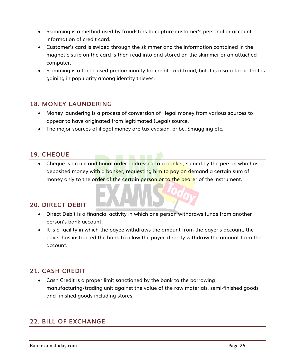- Skimming is a method used by fraudsters to capture customer's personal or account information of credit card.
- Customer's card is swiped through the skimmer and the information contained in the magnetic strip on the card is then read into and stored on the skimmer or an attached computer.
- Skimming is a tactic used predominantly for credit-card fraud, but it is also a tactic that is gaining in popularity among identity thieves.

## <span id="page-25-0"></span>**18. MONEY LAUNDERING**

- Money laundering is a process of conversion of illegal money from various sources to appear to have originated from legitimated (Legal) source.
- The major sources of illegal money are tax evasion, bribe, Smuggling etc.

### <span id="page-25-1"></span>**19. CHEQUE**

• Cheque is an unconditional order addressed to a banker, signed by the person who has deposited money with a banker, requesting him to pay on demand a certain sum of money only to the order of the certain person or to the bearer of the instrument.

#### <span id="page-25-2"></span>**20. DIRECT DEBIT**

- Direct Debit is a financial activity in which one person withdraws funds from another person's bank account.
- It is a facility in which the payee withdraws the amount from the payer's account, the payer has instructed the bank to allow the payee directly withdraw the amount from the account.

### <span id="page-25-3"></span>**21. CASH CREDIT**

 Cash Credit is a proper limit sanctioned by the bank to the borrowing manufacturing/trading unit against the value of the raw materials, semi-finished goods and finished goods including stores.

### <span id="page-25-4"></span>**22. BILL OF EXCHANGE**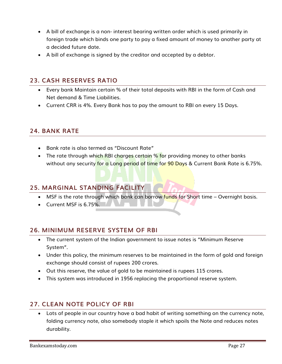- A bill of exchange is a non- interest bearing written order which is used primarily in foreign trade which binds one party to pay a fixed amount of money to another party at a decided future date.
- A bill of exchange is signed by the creditor and accepted by a debtor.

#### <span id="page-26-0"></span>**23. CASH RESERVES RATIO**

- Every bank Maintain certain % of their total deposits with RBI in the form of Cash and Net demand & Time Liabilities.
- Current CRR is 4%. Every Bank has to pay the amount to RBI on every 15 Days.

#### <span id="page-26-1"></span>**24. BANK RATE**

- Bank rate is also termed as "Discount Rate"
- The rate through which RBI charges certain % for providing money to other banks without any security for a Long period of time for 90 Days & Current Bank Rate is 6.75%.

#### <span id="page-26-2"></span>**25. MARGINAL STANDING FACILITY**

- MSF is the rate through which bank can borrow funds for Short time Overnight basis.
- Current MSF is 6.75%.

### <span id="page-26-3"></span>**26. MINIMUM RESERVE SYSTEM OF RBI**

- The current system of the Indian government to issue notes is "Minimum Reserve System".
- Under this policy, the minimum reserves to be maintained in the form of gold and foreign exchange should consist of rupees 200 crores.
- Out this reserve, the value of gold to be maintained is rupees 115 crores.
- This system was introduced in 1956 replacing the proportional reserve system.

### <span id="page-26-4"></span>**27. CLEAN NOTE POLICY OF RBI**

 Lots of people in our country have a bad habit of writing something on the currency note, folding currency note, also somebody staple it which spoils the Note and reduces notes durability.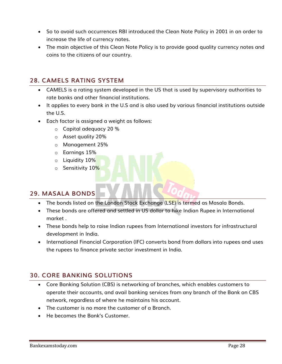- So to avoid such occurrences RBI introduced the Clean Note Policy in 2001 in an order to increase the life of currency notes.
- The main objective of this Clean Note Policy is to provide good quality currency notes and coins to the citizens of our country.

### <span id="page-27-0"></span>**28. CAMELS RATING SYSTEM**

- CAMELS is a rating system developed in the US that is used by supervisory authorities to rate banks and other financial institutions.
- It applies to every bank in the U.S and is also used by various financial institutions outside the U.S.
- Each factor is assigned a weight as follows:
	- o Capital adequacy 20 %
	- o Asset quality 20%
	- o Management 25%
	- o Earnings 15%
	- o Liquidity 10%
	- o Sensitivity 10%

### <span id="page-27-1"></span>**29. MASALA BONDS**

- The bonds listed on the London Stock Exchange (LSE) is termed as Masala Bonds.
- These bonds are offered and settled in US dollar to hike Indian Rupee in International market .
- These bonds help to raise Indian rupees from International investors for infrastructural development in India.
- International Financial Corporation (IFC) converts bond from dollars into rupees and uses the rupees to finance private sector investment in India.

## <span id="page-27-2"></span>**30. CORE BANKING SOLUTIONS**

- Core Banking Solution (CBS) is networking of branches, which enables customers to operate their accounts, and avail banking services from any branch of the Bank on CBS network, regardless of where he maintains his account.
- The customer is no more the customer of a Branch.
- He becomes the Bank's Customer.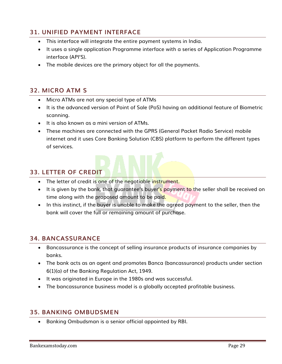## <span id="page-28-0"></span>**31. UNIFIED PAYMENT INTERFACE**

- This interface will integrate the entire payment systems in India.
- It uses a single application Programme interface with a series of Application Programme interface (API'S).
- The mobile devices are the primary object for all the payments.

### <span id="page-28-1"></span>**32. MICRO ATM S**

- Micro ATMs are not any special type of ATMs
- It is the advanced version of Point of Sale (PoS) having an additional feature of Biometric scanning.
- It is also known as a mini version of ATMs.
- These machines are connected with the GPRS (General Packet Radio Service) mobile internet and it uses Core Banking Solution (CBS) platform to perform the different types of services.

#### <span id="page-28-2"></span>**33. LETTER OF CREDIT**

- The letter of credit is one of the negotiable instrument.
- It is given by the bank, that guarantee's buyer's payment to the seller shall be received on time along with the proposed amount to be paid.
- In this instinct, if the buyer is unable to make the agreed payment to the seller, then the bank will cover the full or remaining amount of purchase.

#### <span id="page-28-3"></span>**34. BANCASSURANCE**

- Bancassurance is the concept of selling insurance products of insurance companies by banks.
- The bank acts as an agent and promotes Banca (bancassurance) products under section 6(1)(o) of the Banking Regulation Act, 1949.
- It was originated in Europe in the 1980s and was successful.
- The bancassurance business model is a globally accepted profitable business.

#### <span id="page-28-4"></span>**35. BANKING OMBUDSMEN**

Banking Ombudsman is a senior official appointed by RBI.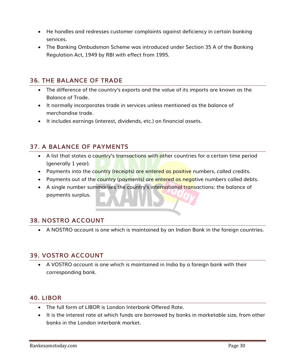- He handles and redresses customer complaints against deficiency in certain banking services.
- The Banking Ombudsman Scheme was introduced under Section 35 A of the Banking Regulation Act, 1949 by RBI with effect from 1995.

#### <span id="page-29-0"></span>**36. THE BALANCE OF TRADE**

- The difference of the country's exports and the value of its imports are known as the Balance of Trade.
- It normally incorporates trade in services unless mentioned as the balance of merchandise trade.
- It includes earnings (interest, dividends, etc.) on financial assets.

#### <span id="page-29-1"></span>**37. A BALANCE OF PAYMENTS**

- A list that states a country's transactions with other countries for a certain time period (generally 1 year).
- Payments into the country (receipts) are entered as positive numbers, called credits.
- Payments out of the country (payments) are entered as negative numbers called debts.
- A single number summarises the country's international transactions: the balance of payments surplus.

#### <span id="page-29-2"></span>**38. NOSTRO ACCOUNT**

A NOSTRO account is one which is maintained by an Indian Bank in the foreign countries.

#### <span id="page-29-3"></span>**39. VOSTRO ACCOUNT**

 A VOSTRO account is one which is maintained in India by a foreign bank with their corresponding bank.

#### <span id="page-29-4"></span>**40. LIBOR**

- The full form of LIBOR is London Interbank Offered Rate.
- It is the interest rate at which funds are borrowed by banks in marketable size, from other banks in the London interbank market.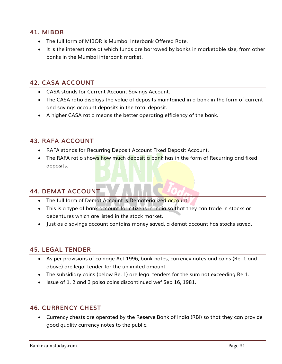### <span id="page-30-0"></span>**41. MIBOR**

- The full form of MIBOR is Mumbai Interbank Offered Rate.
- It is the interest rate at which funds are borrowed by banks in marketable size, from other banks in the Mumbai interbank market.

### <span id="page-30-1"></span>**42. CASA ACCOUNT**

- CASA stands for Current Account Savings Account.
- The CASA ratio displays the value of deposits maintained in a bank in the form of current and savings account deposits in the total deposit.
- A higher CASA ratio means the better operating efficiency of the bank.

### <span id="page-30-2"></span>**43. RAFA ACCOUNT**

- RAFA stands for Recurring Deposit Account Fixed Deposit Account.
- The RAFA ratio shows how much deposit a bank has in the form of Recurring and fixed deposits.

### <span id="page-30-3"></span>**44. DEMAT ACCOUNT**

- The full form of Demat Account is Dematerialized account.
- This is a type of bank account for citizens in India so that they can trade in stocks or debentures which are listed in the stock market.
- Just as a savings account contains money saved, a demat account has stocks saved.

#### <span id="page-30-4"></span>**45. LEGAL TENDER**

- As per provisions of coinage Act 1996, bank notes, currency notes and coins (Re. 1 and above) are legal tender for the unlimited amount.
- The subsidiary coins (below Re. 1) are legal tenders for the sum not exceeding Re 1.
- Issue of 1, 2 and 3 paisa coins discontinued wef Sep 16, 1981.

#### <span id="page-30-5"></span>**46. CURRENCY CHEST**

 Currency chests are operated by the Reserve Bank of India (RBI) so that they can provide good quality currency notes to the public.